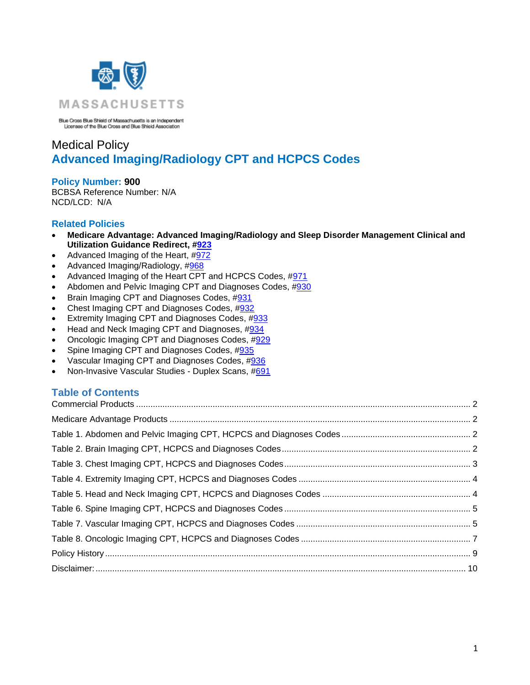

Blue Cross Blue Shield of Massachusetts is an Independent<br>Licensee of the Blue Cross and Blue Shield Association

# Medical Policy **Advanced Imaging/Radiology CPT and HCPCS Codes**

**Policy Number: 900** BCBSA Reference Number: N/A NCD/LCD: N/A

## **Related Policies**

- **Medicare Advantage: Advanced Imaging/Radiology and Sleep Disorder Management Clinical and Utilization Guidance Redirect, [#923](http://www.bluecrossma.org/medical-policies/sites/g/files/csphws2091/files/acquiadam-assets/923%20Medicare%20Advantage%20High%20Technology%20Radiology%20&%20Sleep%20Disorder%20Management%20Redirect%20prn.pdf)**
- Advanced Imaging of the Heart, [#972](https://www.bluecrossma.org/medical-policies/sites/g/files/csphws2091/files/acquiadam-assets/972%20Advanced%20Imaging%20of%20the%20Heart%20prn.pdf)
- Advanced Imaging/Radiology, [#968](https://www.bluecrossma.org/medical-policies/sites/g/files/csphws2091/files/acquiadam-assets/968%20Advanced%20Imaging%20Radiology%20prn.pdf)
- Advanced Imaging of the Heart CPT and HCPCS Codes, [#971](https://www.bluecrossma.org/medical-policies/sites/g/files/csphws2091/files/acquiadam-assets/971%20Advanced%20Imaging%20of%20the%20Heart%20CPT%20and%20HCPCS%20Codes%20prn.pdf)
- Abdomen and Pelvic Imaging CPT and Diagnoses Codes, [#930](https://www.bluecrossma.org/medical-policies/sites/g/files/csphws2091/files/acquiadam-assets/930%20AIM%20%20Abdomen%20and%20Pelvic%20Imaging%20CPT%20and%20Diagnoses%20Codes%20prn.pdf)
- Brain Imaging CPT and Diagnoses Codes, [#931](https://www.bluecrossma.org/medical-policies/sites/g/files/csphws2091/files/acquiadam-assets/931%20AIM%20Brain%20Imaging%20CPT%20and%20Diagnoses%20Codes%20prn.pdf)
- Chest Imaging CPT and Diagnoses Codes, [#932](https://www.bluecrossma.org/medical-policies/sites/g/files/csphws2091/files/acquiadam-assets/932%20AIM%20Chest%20Imaging%20CPT%20and%20Diagnoses%20Codes%20prn.pdf)
- Extremity Imaging CPT and Diagnoses Codes, [#933](https://www.bluecrossma.org/medical-policies/sites/g/files/csphws2091/files/acquiadam-assets/933%20AIM%20Extremity%20Imaging%20CPT%20and%20Diagnoses%20Codes%20prn.pdf)
- Head and Neck Imaging CPT and Diagnoses, [#934](https://www.bluecrossma.org/medical-policies/sites/g/files/csphws2091/files/acquiadam-assets/934%20AIM%20Head%20and%20Neck%20Imaging%20CPT%20and%20Diagnoses%20Codes%20prn.pdf)
- Oncologic Imaging CPT and Diagnoses Codes, [#929](https://www.bluecrossma.org/medical-policies/sites/g/files/csphws2091/files/acquiadam-assets/929%20AIM%20Oncologic%20Imaging%20CPT,%20HCPCS%20and%20Diagnoses%20Codes%20prn.pdf)
- Spine Imaging CPT and Diagnoses Codes, [#935](https://www.bluecrossma.org/medical-policies/sites/g/files/csphws2091/files/acquiadam-assets/935%20AIM%20Spine%20Imaging%20CPT%20and%20Diagnoses%20Codes%20prn.pdf)
- Vascular Imaging CPT and Diagnoses Codes, [#936](https://www.bluecrossma.org/medical-policies/sites/g/files/csphws2091/files/acquiadam-assets/936%20AIM%20Vascular%20Imaging%20CPT%20and%20Diagnoses%20Codes%20prn.pdf)
- Non-Invasive Vascular Studies Duplex Scans, [#691](https://www.bluecrossma.org/medical-policies/sites/g/files/csphws2091/files/acquiadam-assets/691%20Non-Invasive%20Vascular%20Studies%20-%20Duplex%20Scans%20prn.pdf)

# **Table of Contents**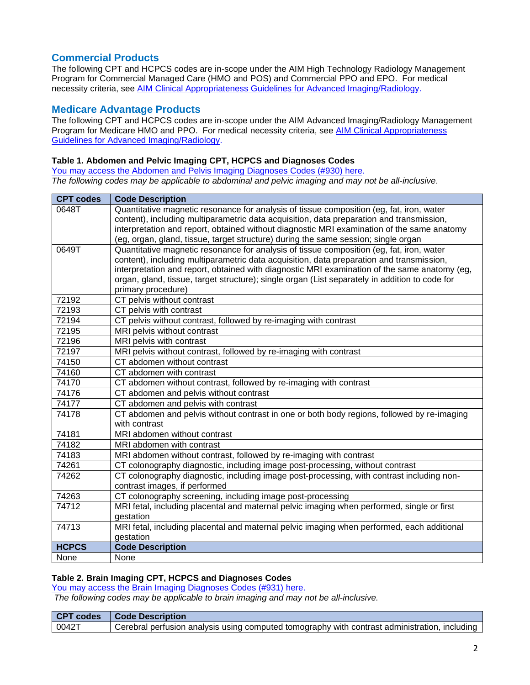# <span id="page-1-0"></span>**Commercial Products**

The following CPT and HCPCS codes are in-scope under the AIM High Technology Radiology Management Program for Commercial Managed Care (HMO and POS) and Commercial PPO and EPO. For medical necessity criteria, see [AIM Clinical Appropriateness Guidelines for Advanced Imaging/Radiology.](http://www.aimspecialtyhealth.com/CG-Radiology.html)

# <span id="page-1-1"></span>**Medicare Advantage Products**

The following CPT and HCPCS codes are in-scope under the AIM Advanced Imaging/Radiology Management Program for Medicare HMO and PPO.For medical necessity criteria, see [AIM Clinical Appropriateness](http://www.aimspecialtyhealth.com/CG-Radiology.html)  [Guidelines for Advanced Imaging/Radiology.](http://www.aimspecialtyhealth.com/CG-Radiology.html)

### <span id="page-1-2"></span>**Table 1. Abdomen and Pelvic Imaging CPT, HCPCS and Diagnoses Codes**

You may access [the Abdomen and Pelvis](https://www.bluecrossma.org/medical-policies/sites/g/files/csphws2091/files/acquiadam-assets/930%20AIM%20%20Abdomen%20and%20Pelvic%20Imaging%20CPT%20and%20Diagnoses%20Codes%20prn.pdf) Imaging Diagnoses Codes (#930) here. *The following codes may be applicable to abdominal and pelvic imaging and may not be all-inclusive*.

| <b>CPT codes</b> | <b>Code Description</b>                                                                        |
|------------------|------------------------------------------------------------------------------------------------|
| 0648T            | Quantitative magnetic resonance for analysis of tissue composition (eg, fat, iron, water       |
|                  | content), including multiparametric data acquisition, data preparation and transmission,       |
|                  | interpretation and report, obtained without diagnostic MRI examination of the same anatomy     |
|                  | (eg, organ, gland, tissue, target structure) during the same session; single organ             |
| 0649T            | Quantitative magnetic resonance for analysis of tissue composition (eq. fat, iron, water       |
|                  | content), including multiparametric data acquisition, data preparation and transmission,       |
|                  | interpretation and report, obtained with diagnostic MRI examination of the same anatomy (eg,   |
|                  | organ, gland, tissue, target structure); single organ (List separately in addition to code for |
|                  | primary procedure)                                                                             |
| 72192            | CT pelvis without contrast                                                                     |
| 72193            | CT pelvis with contrast                                                                        |
| 72194            | CT pelvis without contrast, followed by re-imaging with contrast                               |
| 72195            | MRI pelvis without contrast                                                                    |
| 72196            | MRI pelvis with contrast                                                                       |
| 72197            | MRI pelvis without contrast, followed by re-imaging with contrast                              |
| 74150            | CT abdomen without contrast                                                                    |
| 74160            | CT abdomen with contrast                                                                       |
| 74170            | CT abdomen without contrast, followed by re-imaging with contrast                              |
| 74176            | CT abdomen and pelvis without contrast                                                         |
| 74177            | CT abdomen and pelvis with contrast                                                            |
| 74178            | CT abdomen and pelvis without contrast in one or both body regions, followed by re-imaging     |
|                  | with contrast                                                                                  |
| 74181            | MRI abdomen without contrast                                                                   |
| 74182            | MRI abdomen with contrast                                                                      |
| 74183            | MRI abdomen without contrast, followed by re-imaging with contrast                             |
| 74261            | CT colonography diagnostic, including image post-processing, without contrast                  |
| 74262            | CT colonography diagnostic, including image post-processing, with contrast including non-      |
|                  | contrast images, if performed                                                                  |
| 74263            | CT colonography screening, including image post-processing                                     |
| 74712            | MRI fetal, including placental and maternal pelvic imaging when performed, single or first     |
|                  | gestation                                                                                      |
| 74713            | MRI fetal, including placental and maternal pelvic imaging when performed, each additional     |
|                  | gestation                                                                                      |
| <b>HCPCS</b>     | <b>Code Description</b>                                                                        |
| None             | None                                                                                           |

#### <span id="page-1-3"></span>**Table 2. Brain Imaging CPT, HCPCS and Diagnoses Codes**

[You may access the Brain Imaging Diagnoses Codes](https://www.bluecrossma.org/medical-policies/sites/g/files/csphws2091/files/acquiadam-assets/931%20AIM%20Brain%20Imaging%20CPT%20and%20Diagnoses%20Codes%20prn.pdf) (#931) here.

*The following codes may be applicable to brain imaging and may not be all-inclusive.*

| <b>CPT codes</b> | <b>Ⅰ Code Description</b>                                                                     |
|------------------|-----------------------------------------------------------------------------------------------|
| $0042$ T         | Cerebral perfusion analysis using computed tomography with contrast administration, including |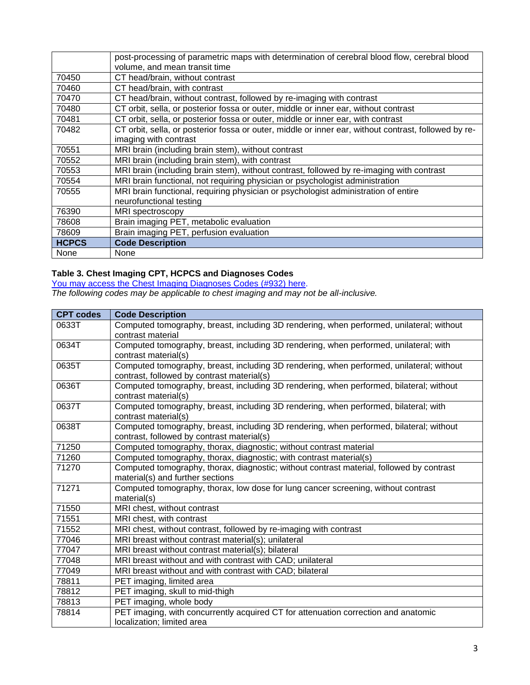|              | post-processing of parametric maps with determination of cerebral blood flow, cerebral blood<br>volume, and mean transit time |
|--------------|-------------------------------------------------------------------------------------------------------------------------------|
| 70450        | CT head/brain, without contrast                                                                                               |
| 70460        | CT head/brain, with contrast                                                                                                  |
| 70470        | CT head/brain, without contrast, followed by re-imaging with contrast                                                         |
| 70480        | CT orbit, sella, or posterior fossa or outer, middle or inner ear, without contrast                                           |
| 70481        | CT orbit, sella, or posterior fossa or outer, middle or inner ear, with contrast                                              |
| 70482        | CT orbit, sella, or posterior fossa or outer, middle or inner ear, without contrast, followed by re-                          |
|              | imaging with contrast                                                                                                         |
| 70551        | MRI brain (including brain stem), without contrast                                                                            |
| 70552        | MRI brain (including brain stem), with contrast                                                                               |
| 70553        | MRI brain (including brain stem), without contrast, followed by re-imaging with contrast                                      |
| 70554        | MRI brain functional, not requiring physician or psychologist administration                                                  |
| 70555        | MRI brain functional, requiring physician or psychologist administration of entire                                            |
|              | neurofunctional testing                                                                                                       |
| 76390        | MRI spectroscopy                                                                                                              |
| 78608        | Brain imaging PET, metabolic evaluation                                                                                       |
| 78609        | Brain imaging PET, perfusion evaluation                                                                                       |
| <b>HCPCS</b> | <b>Code Description</b>                                                                                                       |
| None         | None                                                                                                                          |

#### <span id="page-2-0"></span>**Table 3. Chest Imaging CPT, HCPCS and Diagnoses Codes**

[You may access the Chest Imaging Diagnoses Codes](https://www.bluecrossma.org/medical-policies/sites/g/files/csphws2091/files/acquiadam-assets/932%20AIM%20Chest%20Imaging%20CPT%20and%20Diagnoses%20Codes%20prn.pdf) (#932) here.

*The following codes may be applicable to chest imaging and may not be all-inclusive.*

| <b>CPT codes</b> | <b>Code Description</b>                                                                  |
|------------------|------------------------------------------------------------------------------------------|
| 0633T            | Computed tomography, breast, including 3D rendering, when performed, unilateral; without |
|                  | contrast material                                                                        |
| 0634T            | Computed tomography, breast, including 3D rendering, when performed, unilateral; with    |
|                  | contrast material(s)                                                                     |
| 0635T            | Computed tomography, breast, including 3D rendering, when performed, unilateral; without |
|                  | contrast, followed by contrast material(s)                                               |
| 0636T            | Computed tomography, breast, including 3D rendering, when performed, bilateral; without  |
|                  | contrast material(s)                                                                     |
| 0637T            | Computed tomography, breast, including 3D rendering, when performed, bilateral; with     |
|                  | contrast material(s)                                                                     |
| 0638T            | Computed tomography, breast, including 3D rendering, when performed, bilateral; without  |
|                  | contrast, followed by contrast material(s)                                               |
| 71250            | Computed tomography, thorax, diagnostic; without contrast material                       |
| 71260            | Computed tomography, thorax, diagnostic; with contrast material(s)                       |
| 71270            | Computed tomography, thorax, diagnostic; without contrast material, followed by contrast |
|                  | material(s) and further sections                                                         |
| 71271            | Computed tomography, thorax, low dose for lung cancer screening, without contrast        |
|                  | material(s)                                                                              |
| 71550            | MRI chest, without contrast                                                              |
| 71551            | MRI chest, with contrast                                                                 |
| 71552            | MRI chest, without contrast, followed by re-imaging with contrast                        |
| 77046            | MRI breast without contrast material(s); unilateral                                      |
| 77047            | MRI breast without contrast material(s); bilateral                                       |
| 77048            | MRI breast without and with contrast with CAD; unilateral                                |
| 77049            | MRI breast without and with contrast with CAD; bilateral                                 |
| 78811            | PET imaging, limited area                                                                |
| 78812            | PET imaging, skull to mid-thigh                                                          |
| 78813            | PET imaging, whole body                                                                  |
| 78814            | PET imaging, with concurrently acquired CT for attenuation correction and anatomic       |
|                  | localization; limited area                                                               |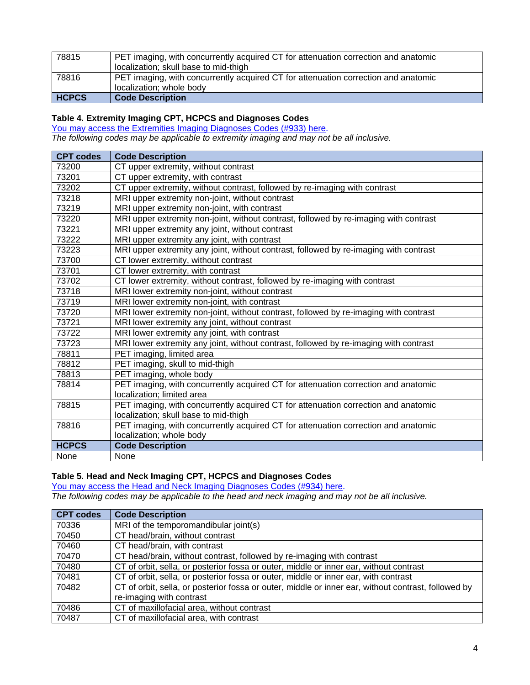| 78815        | PET imaging, with concurrently acquired CT for attenuation correction and anatomic |
|--------------|------------------------------------------------------------------------------------|
|              | localization; skull base to mid-thigh                                              |
| 78816        | PET imaging, with concurrently acquired CT for attenuation correction and anatomic |
|              | localization; whole body                                                           |
| <b>HCPCS</b> | <b>Code Description</b>                                                            |

#### <span id="page-3-0"></span>**Table 4. Extremity Imaging CPT, HCPCS and Diagnoses Codes**

[You may access the Extremities](https://www.bluecrossma.org/medical-policies/sites/g/files/csphws2091/files/acquiadam-assets/933%20AIM%20Extremity%20Imaging%20CPT%20and%20Diagnoses%20Codes%20prn.pdf) Imaging Diagnoses Codes (#933) here.

*The following codes may be applicable to extremity imaging and may not be all inclusive.*

| <b>CPT codes</b> | <b>Code Description</b>                                                               |
|------------------|---------------------------------------------------------------------------------------|
| 73200            | CT upper extremity, without contrast                                                  |
| 73201            | CT upper extremity, with contrast                                                     |
| 73202            | CT upper extremity, without contrast, followed by re-imaging with contrast            |
| 73218            | MRI upper extremity non-joint, without contrast                                       |
| 73219            | MRI upper extremity non-joint, with contrast                                          |
| 73220            | MRI upper extremity non-joint, without contrast, followed by re-imaging with contrast |
| 73221            | MRI upper extremity any joint, without contrast                                       |
| 73222            | MRI upper extremity any joint, with contrast                                          |
| 73223            | MRI upper extremity any joint, without contrast, followed by re-imaging with contrast |
| 73700            | CT lower extremity, without contrast                                                  |
| 73701            | CT lower extremity, with contrast                                                     |
| 73702            | CT lower extremity, without contrast, followed by re-imaging with contrast            |
| 73718            | MRI lower extremity non-joint, without contrast                                       |
| 73719            | MRI lower extremity non-joint, with contrast                                          |
| 73720            | MRI lower extremity non-joint, without contrast, followed by re-imaging with contrast |
| 73721            | MRI lower extremity any joint, without contrast                                       |
| 73722            | MRI lower extremity any joint, with contrast                                          |
| 73723            | MRI lower extremity any joint, without contrast, followed by re-imaging with contrast |
| 78811            | PET imaging, limited area                                                             |
| 78812            | PET imaging, skull to mid-thigh                                                       |
| 78813            | PET imaging, whole body                                                               |
| 78814            | PET imaging, with concurrently acquired CT for attenuation correction and anatomic    |
|                  | localization; limited area                                                            |
| 78815            | PET imaging, with concurrently acquired CT for attenuation correction and anatomic    |
|                  | localization; skull base to mid-thigh                                                 |
| 78816            | PET imaging, with concurrently acquired CT for attenuation correction and anatomic    |
|                  | localization; whole body                                                              |
| <b>HCPCS</b>     | <b>Code Description</b>                                                               |
| None             | None                                                                                  |

#### <span id="page-3-1"></span>**Table 5. Head and Neck Imaging CPT, HCPCS and Diagnoses Codes**

You [may access the Head and Neck Imaging](https://www.bluecrossma.org/medical-policies/sites/g/files/csphws2091/files/acquiadam-assets/934%20AIM%20Head%20and%20Neck%20Imaging%20CPT%20and%20Diagnoses%20Codes%20prn.pdf) Diagnoses Codes (#934) here.

*The following codes may be applicable to the head and neck imaging and may not be all inclusive.*

| <b>CPT codes</b> | <b>Code Description</b>                                                                             |
|------------------|-----------------------------------------------------------------------------------------------------|
| 70336            | MRI of the temporomandibular joint(s)                                                               |
| 70450            | CT head/brain, without contrast                                                                     |
| 70460            | CT head/brain, with contrast                                                                        |
| 70470            | CT head/brain, without contrast, followed by re-imaging with contrast                               |
| 70480            | CT of orbit, sella, or posterior fossa or outer, middle or inner ear, without contrast              |
| 70481            | CT of orbit, sella, or posterior fossa or outer, middle or inner ear, with contrast                 |
| 70482            | CT of orbit, sella, or posterior fossa or outer, middle or inner ear, without contrast, followed by |
|                  | re-imaging with contrast                                                                            |
| 70486            | CT of maxillofacial area, without contrast                                                          |
| 70487            | CT of maxillofacial area, with contrast                                                             |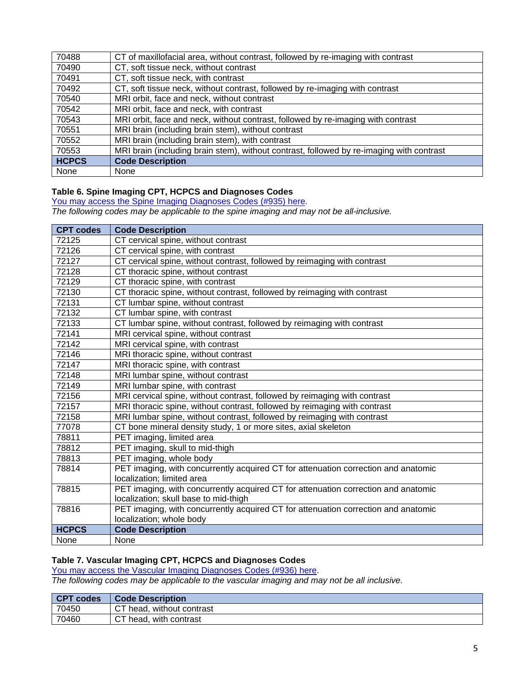| None         | <b>None</b>                                                                              |
|--------------|------------------------------------------------------------------------------------------|
| <b>HCPCS</b> | <b>Code Description</b>                                                                  |
| 70553        | MRI brain (including brain stem), without contrast, followed by re-imaging with contrast |
| 70552        | MRI brain (including brain stem), with contrast                                          |
| 70551        | MRI brain (including brain stem), without contrast                                       |
| 70543        | MRI orbit, face and neck, without contrast, followed by re-imaging with contrast         |
| 70542        | MRI orbit, face and neck, with contrast                                                  |
| 70540        | MRI orbit, face and neck, without contrast                                               |
| 70492        | CT, soft tissue neck, without contrast, followed by re-imaging with contrast             |
| 70491        | CT, soft tissue neck, with contrast                                                      |
| 70490        | CT, soft tissue neck, without contrast                                                   |
| 70488        | CT of maxillofacial area, without contrast, followed by re-imaging with contrast         |

#### <span id="page-4-0"></span>**Table 6. Spine Imaging CPT, HCPCS and Diagnoses Codes**

You may access the [Spine Imaging Diagnoses Codes](https://www.bluecrossma.org/medical-policies/sites/g/files/csphws2091/files/acquiadam-assets/935%20AIM%20Spine%20Imaging%20CPT%20and%20Diagnoses%20Codes%20prn.pdf) (#935) here.

*The following codes may be applicable to the spine imaging and may not be all-inclusive.*

| <b>CPT codes</b> | <b>Code Description</b>                                                            |
|------------------|------------------------------------------------------------------------------------|
| 72125            | CT cervical spine, without contrast                                                |
| 72126            | CT cervical spine, with contrast                                                   |
| 72127            | CT cervical spine, without contrast, followed by reimaging with contrast           |
| 72128            | CT thoracic spine, without contrast                                                |
| 72129            | CT thoracic spine, with contrast                                                   |
| 72130            | CT thoracic spine, without contrast, followed by reimaging with contrast           |
| 72131            | CT lumbar spine, without contrast                                                  |
| 72132            | CT lumbar spine, with contrast                                                     |
| 72133            | CT lumbar spine, without contrast, followed by reimaging with contrast             |
| 72141            | MRI cervical spine, without contrast                                               |
| 72142            | MRI cervical spine, with contrast                                                  |
| 72146            | MRI thoracic spine, without contrast                                               |
| 72147            | MRI thoracic spine, with contrast                                                  |
| 72148            | MRI lumbar spine, without contrast                                                 |
| 72149            | MRI lumbar spine, with contrast                                                    |
| 72156            | MRI cervical spine, without contrast, followed by reimaging with contrast          |
| 72157            | MRI thoracic spine, without contrast, followed by reimaging with contrast          |
| 72158            | MRI lumbar spine, without contrast, followed by reimaging with contrast            |
| 77078            | CT bone mineral density study, 1 or more sites, axial skeleton                     |
| 78811            | PET imaging, limited area                                                          |
| 78812            | PET imaging, skull to mid-thigh                                                    |
| 78813            | PET imaging, whole body                                                            |
| 78814            | PET imaging, with concurrently acquired CT for attenuation correction and anatomic |
|                  | localization; limited area                                                         |
| 78815            | PET imaging, with concurrently acquired CT for attenuation correction and anatomic |
|                  | localization; skull base to mid-thigh                                              |
| 78816            | PET imaging, with concurrently acquired CT for attenuation correction and anatomic |
|                  | localization; whole body                                                           |
| <b>HCPCS</b>     | <b>Code Description</b>                                                            |
| None             | None                                                                               |

#### <span id="page-4-1"></span>**Table 7. Vascular Imaging CPT, HCPCS and Diagnoses Codes**

[You may access the Vascular](https://www.bluecrossma.org/medical-policies/sites/g/files/csphws2091/files/acquiadam-assets/936%20AIM%20Vascular%20Imaging%20CPT%20and%20Diagnoses%20Codes%20prn.pdf) Imaging Diagnoses Codes (#936) here.

*The following codes may be applicable to the vascular imaging and may not be all inclusive.*

| CPT codes | <b>Code Description</b>   |
|-----------|---------------------------|
| 70450     | CT head, without contrast |
| 70460     | CT head, with contrast    |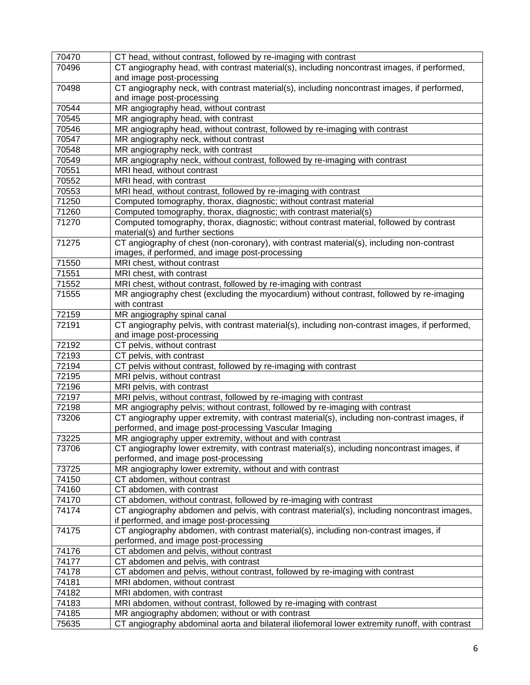| 70470 | CT head, without contrast, followed by re-imaging with contrast                                |
|-------|------------------------------------------------------------------------------------------------|
| 70496 | CT angiography head, with contrast material(s), including noncontrast images, if performed,    |
|       | and image post-processing                                                                      |
| 70498 | CT angiography neck, with contrast material(s), including noncontrast images, if performed,    |
|       | and image post-processing                                                                      |
| 70544 | MR angiography head, without contrast                                                          |
| 70545 | MR angiography head, with contrast                                                             |
| 70546 | MR angiography head, without contrast, followed by re-imaging with contrast                    |
| 70547 | MR angiography neck, without contrast                                                          |
| 70548 | MR angiography neck, with contrast                                                             |
| 70549 | MR angiography neck, without contrast, followed by re-imaging with contrast                    |
| 70551 | MRI head, without contrast                                                                     |
| 70552 | MRI head, with contrast                                                                        |
| 70553 | MRI head, without contrast, followed by re-imaging with contrast                               |
| 71250 | Computed tomography, thorax, diagnostic; without contrast material                             |
| 71260 | Computed tomography, thorax, diagnostic; with contrast material(s)                             |
| 71270 | Computed tomography, thorax, diagnostic; without contrast material, followed by contrast       |
|       | material(s) and further sections                                                               |
| 71275 | CT angiography of chest (non-coronary), with contrast material(s), including non-contrast      |
|       | images, if performed, and image post-processing                                                |
| 71550 | MRI chest, without contrast                                                                    |
| 71551 | MRI chest, with contrast                                                                       |
| 71552 | MRI chest, without contrast, followed by re-imaging with contrast                              |
| 71555 | MR angiography chest (excluding the myocardium) without contrast, followed by re-imaging       |
|       | with contrast                                                                                  |
| 72159 | MR angiography spinal canal                                                                    |
| 72191 | CT angiography pelvis, with contrast material(s), including non-contrast images, if performed, |
|       | and image post-processing                                                                      |
| 72192 | CT pelvis, without contrast                                                                    |
| 72193 | CT pelvis, with contrast                                                                       |
| 72194 | CT pelvis without contrast, followed by re-imaging with contrast                               |
| 72195 | MRI pelvis, without contrast                                                                   |
| 72196 | MRI pelvis, with contrast                                                                      |
| 72197 | MRI pelvis, without contrast, followed by re-imaging with contrast                             |
| 72198 | MR angiography pelvis; without contrast, followed by re-imaging with contrast                  |
| 73206 | CT angiography upper extremity, with contrast material(s), including non-contrast images, if   |
|       | performed, and image post-processing Vascular Imaging                                          |
| 73225 | MR angiography upper extremity, without and with contrast                                      |
| 73706 | CT angiography lower extremity, with contrast material(s), including noncontrast images, if    |
|       | performed, and image post-processing                                                           |
| 73725 | MR angiography lower extremity, without and with contrast                                      |
| 74150 | CT abdomen, without contrast                                                                   |
| 74160 | CT abdomen, with contrast                                                                      |
| 74170 | CT abdomen, without contrast, followed by re-imaging with contrast                             |
| 74174 | CT angiography abdomen and pelvis, with contrast material(s), including noncontrast images,    |
|       | if performed, and image post-processing                                                        |
| 74175 | CT angiography abdomen, with contrast material(s), including non-contrast images, if           |
|       | performed, and image post-processing                                                           |
| 74176 | CT abdomen and pelvis, without contrast                                                        |
| 74177 | CT abdomen and pelvis, with contrast                                                           |
| 74178 | CT abdomen and pelvis, without contrast, followed by re-imaging with contrast                  |
| 74181 | MRI abdomen, without contrast                                                                  |
| 74182 | MRI abdomen, with contrast                                                                     |
| 74183 | MRI abdomen, without contrast, followed by re-imaging with contrast                            |
| 74185 | MR angiography abdomen; without or with contrast                                               |
| 75635 | CT angiography abdominal aorta and bilateral iliofemoral lower extremity runoff, with contrast |
|       |                                                                                                |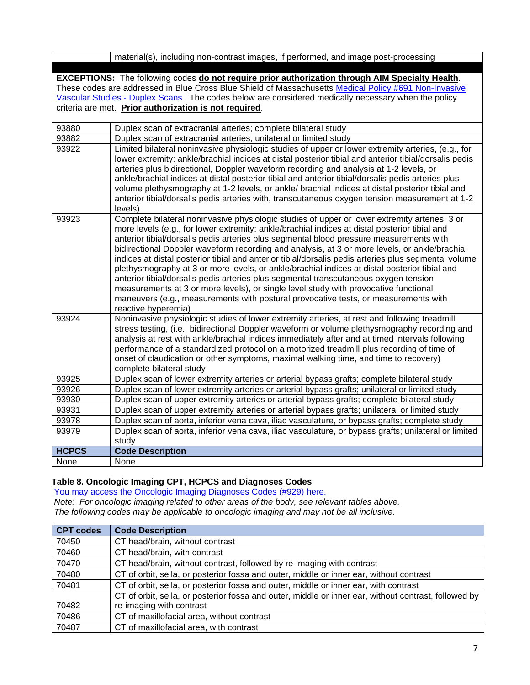|                                                                                                                                                                                                                                                                                                                                                                            | material(s), including non-contrast images, if performed, and image post-processing                                                                                                                                                                                                                                                                                                                                                                                                                                                                                                                                                                                                                                                                                                                                                                                                               |  |
|----------------------------------------------------------------------------------------------------------------------------------------------------------------------------------------------------------------------------------------------------------------------------------------------------------------------------------------------------------------------------|---------------------------------------------------------------------------------------------------------------------------------------------------------------------------------------------------------------------------------------------------------------------------------------------------------------------------------------------------------------------------------------------------------------------------------------------------------------------------------------------------------------------------------------------------------------------------------------------------------------------------------------------------------------------------------------------------------------------------------------------------------------------------------------------------------------------------------------------------------------------------------------------------|--|
|                                                                                                                                                                                                                                                                                                                                                                            |                                                                                                                                                                                                                                                                                                                                                                                                                                                                                                                                                                                                                                                                                                                                                                                                                                                                                                   |  |
| EXCEPTIONS: The following codes do not require prior authorization through AIM Specialty Health.<br>These codes are addressed in Blue Cross Blue Shield of Massachusetts Medical Policy #691 Non-Invasive<br>Vascular Studies - Duplex Scans. The codes below are considered medically necessary when the policy<br>criteria are met. Prior authorization is not required. |                                                                                                                                                                                                                                                                                                                                                                                                                                                                                                                                                                                                                                                                                                                                                                                                                                                                                                   |  |
| 93880                                                                                                                                                                                                                                                                                                                                                                      | Duplex scan of extracranial arteries; complete bilateral study                                                                                                                                                                                                                                                                                                                                                                                                                                                                                                                                                                                                                                                                                                                                                                                                                                    |  |
| 93882                                                                                                                                                                                                                                                                                                                                                                      | Duplex scan of extracranial arteries; unilateral or limited study                                                                                                                                                                                                                                                                                                                                                                                                                                                                                                                                                                                                                                                                                                                                                                                                                                 |  |
| 93922                                                                                                                                                                                                                                                                                                                                                                      | Limited bilateral noninvasive physiologic studies of upper or lower extremity arteries, (e.g., for<br>lower extremity: ankle/brachial indices at distal posterior tibial and anterior tibial/dorsalis pedis<br>arteries plus bidirectional, Doppler waveform recording and analysis at 1-2 levels, or<br>ankle/brachial indices at distal posterior tibial and anterior tibial/dorsalis pedis arteries plus<br>volume plethysmography at 1-2 levels, or ankle/ brachial indices at distal posterior tibial and<br>anterior tibial/dorsalis pedis arteries with, transcutaneous oxygen tension measurement at 1-2<br>levels)                                                                                                                                                                                                                                                                       |  |
| 93923                                                                                                                                                                                                                                                                                                                                                                      | Complete bilateral noninvasive physiologic studies of upper or lower extremity arteries, 3 or<br>more levels (e.g., for lower extremity: ankle/brachial indices at distal posterior tibial and<br>anterior tibial/dorsalis pedis arteries plus segmental blood pressure measurements with<br>bidirectional Doppler waveform recording and analysis, at 3 or more levels, or ankle/brachial<br>indices at distal posterior tibial and anterior tibial/dorsalis pedis arteries plus segmental volume<br>plethysmography at 3 or more levels, or ankle/brachial indices at distal posterior tibial and<br>anterior tibial/dorsalis pedis arteries plus segmental transcutaneous oxygen tension<br>measurements at 3 or more levels), or single level study with provocative functional<br>maneuvers (e.g., measurements with postural provocative tests, or measurements with<br>reactive hyperemia) |  |
| 93924                                                                                                                                                                                                                                                                                                                                                                      | Noninvasive physiologic studies of lower extremity arteries, at rest and following treadmill<br>stress testing, (i.e., bidirectional Doppler waveform or volume plethysmography recording and<br>analysis at rest with ankle/brachial indices immediately after and at timed intervals following<br>performance of a standardized protocol on a motorized treadmill plus recording of time of<br>onset of claudication or other symptoms, maximal walking time, and time to recovery)<br>complete bilateral study                                                                                                                                                                                                                                                                                                                                                                                 |  |
| 93925                                                                                                                                                                                                                                                                                                                                                                      | Duplex scan of lower extremity arteries or arterial bypass grafts; complete bilateral study                                                                                                                                                                                                                                                                                                                                                                                                                                                                                                                                                                                                                                                                                                                                                                                                       |  |
| 93926                                                                                                                                                                                                                                                                                                                                                                      | Duplex scan of lower extremity arteries or arterial bypass grafts; unilateral or limited study                                                                                                                                                                                                                                                                                                                                                                                                                                                                                                                                                                                                                                                                                                                                                                                                    |  |
| 93930                                                                                                                                                                                                                                                                                                                                                                      | Duplex scan of upper extremity arteries or arterial bypass grafts; complete bilateral study                                                                                                                                                                                                                                                                                                                                                                                                                                                                                                                                                                                                                                                                                                                                                                                                       |  |
| 93931                                                                                                                                                                                                                                                                                                                                                                      | Duplex scan of upper extremity arteries or arterial bypass grafts; unilateral or limited study                                                                                                                                                                                                                                                                                                                                                                                                                                                                                                                                                                                                                                                                                                                                                                                                    |  |
| 93978                                                                                                                                                                                                                                                                                                                                                                      | Duplex scan of aorta, inferior vena cava, iliac vasculature, or bypass grafts; complete study                                                                                                                                                                                                                                                                                                                                                                                                                                                                                                                                                                                                                                                                                                                                                                                                     |  |
| 93979                                                                                                                                                                                                                                                                                                                                                                      | Duplex scan of aorta, inferior vena cava, iliac vasculature, or bypass grafts; unilateral or limited<br>study                                                                                                                                                                                                                                                                                                                                                                                                                                                                                                                                                                                                                                                                                                                                                                                     |  |
| <b>HCPCS</b>                                                                                                                                                                                                                                                                                                                                                               | <b>Code Description</b>                                                                                                                                                                                                                                                                                                                                                                                                                                                                                                                                                                                                                                                                                                                                                                                                                                                                           |  |
| None                                                                                                                                                                                                                                                                                                                                                                       | None                                                                                                                                                                                                                                                                                                                                                                                                                                                                                                                                                                                                                                                                                                                                                                                                                                                                                              |  |

#### <span id="page-6-0"></span>**Table 8. Oncologic Imaging CPT, HCPCS and Diagnoses Codes**

You may access the [Oncologic Imaging Diagnoses Codes](https://www.bluecrossma.org/medical-policies/sites/g/files/csphws2091/files/acquiadam-assets/929%20AIM%20Oncologic%20Imaging%20CPT,%20HCPCS%20and%20Diagnoses%20Codes%20prn.pdf) (#929) here.

*Note: For oncologic imaging related to other areas of the body, see relevant tables above. The following codes may be applicable to oncologic imaging and may not be all inclusive.*

| <b>CPT codes</b> | <b>Code Description</b>                                                                              |
|------------------|------------------------------------------------------------------------------------------------------|
| 70450            | CT head/brain, without contrast                                                                      |
| 70460            | CT head/brain, with contrast                                                                         |
| 70470            | CT head/brain, without contrast, followed by re-imaging with contrast                                |
| 70480            | CT of orbit, sella, or posterior fossa and outer, middle or inner ear, without contrast              |
| 70481            | CT of orbit, sella, or posterior fossa and outer, middle or inner ear, with contrast                 |
|                  | CT of orbit, sella, or posterior fossa and outer, middle or inner ear, without contrast, followed by |
| 70482            | re-imaging with contrast                                                                             |
| 70486            | CT of maxillofacial area, without contrast                                                           |
| 70487            | CT of maxillofacial area, with contrast                                                              |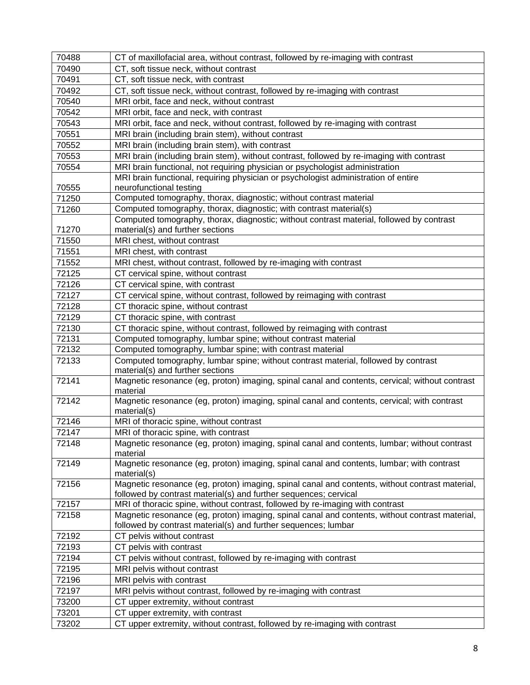| 70488 | CT of maxillofacial area, without contrast, followed by re-imaging with contrast                                                                                   |
|-------|--------------------------------------------------------------------------------------------------------------------------------------------------------------------|
| 70490 | CT, soft tissue neck, without contrast                                                                                                                             |
| 70491 | CT, soft tissue neck, with contrast                                                                                                                                |
| 70492 | CT, soft tissue neck, without contrast, followed by re-imaging with contrast                                                                                       |
| 70540 | MRI orbit, face and neck, without contrast                                                                                                                         |
| 70542 | MRI orbit, face and neck, with contrast                                                                                                                            |
| 70543 | MRI orbit, face and neck, without contrast, followed by re-imaging with contrast                                                                                   |
| 70551 | MRI brain (including brain stem), without contrast                                                                                                                 |
| 70552 | MRI brain (including brain stem), with contrast                                                                                                                    |
| 70553 | MRI brain (including brain stem), without contrast, followed by re-imaging with contrast                                                                           |
| 70554 | MRI brain functional, not requiring physician or psychologist administration                                                                                       |
|       | MRI brain functional, requiring physician or psychologist administration of entire                                                                                 |
| 70555 | neurofunctional testing                                                                                                                                            |
| 71250 | Computed tomography, thorax, diagnostic; without contrast material                                                                                                 |
| 71260 | Computed tomography, thorax, diagnostic; with contrast material(s)                                                                                                 |
|       | Computed tomography, thorax, diagnostic; without contrast material, followed by contrast                                                                           |
| 71270 | material(s) and further sections                                                                                                                                   |
| 71550 | MRI chest, without contrast                                                                                                                                        |
| 71551 | MRI chest, with contrast                                                                                                                                           |
| 71552 | MRI chest, without contrast, followed by re-imaging with contrast                                                                                                  |
| 72125 | CT cervical spine, without contrast                                                                                                                                |
| 72126 | CT cervical spine, with contrast                                                                                                                                   |
| 72127 | CT cervical spine, without contrast, followed by reimaging with contrast                                                                                           |
| 72128 | CT thoracic spine, without contrast                                                                                                                                |
| 72129 | CT thoracic spine, with contrast                                                                                                                                   |
| 72130 | CT thoracic spine, without contrast, followed by reimaging with contrast                                                                                           |
| 72131 | Computed tomography, lumbar spine; without contrast material                                                                                                       |
| 72132 | Computed tomography, lumbar spine; with contrast material                                                                                                          |
| 72133 | Computed tomography, lumbar spine; without contrast material, followed by contrast<br>material(s) and further sections                                             |
| 72141 | Magnetic resonance (eg, proton) imaging, spinal canal and contents, cervical; without contrast<br>material                                                         |
| 72142 | Magnetic resonance (eg, proton) imaging, spinal canal and contents, cervical; with contrast<br>material(s)                                                         |
| 72146 | MRI of thoracic spine, without contrast                                                                                                                            |
| 72147 | MRI of thoracic spine, with contrast                                                                                                                               |
| 72148 | Magnetic resonance (eg, proton) imaging, spinal canal and contents, lumbar; without contrast                                                                       |
|       | material                                                                                                                                                           |
| 72149 | Magnetic resonance (eg, proton) imaging, spinal canal and contents, lumbar; with contrast<br>material(s)                                                           |
| 72156 | Magnetic resonance (eg, proton) imaging, spinal canal and contents, without contrast material,<br>followed by contrast material(s) and further sequences; cervical |
| 72157 | MRI of thoracic spine, without contrast, followed by re-imaging with contrast                                                                                      |
| 72158 | Magnetic resonance (eg, proton) imaging, spinal canal and contents, without contrast material,<br>followed by contrast material(s) and further sequences; lumbar   |
| 72192 | CT pelvis without contrast                                                                                                                                         |
| 72193 | CT pelvis with contrast                                                                                                                                            |
| 72194 | CT pelvis without contrast, followed by re-imaging with contrast                                                                                                   |
| 72195 | MRI pelvis without contrast                                                                                                                                        |
| 72196 | MRI pelvis with contrast                                                                                                                                           |
| 72197 | MRI pelvis without contrast, followed by re-imaging with contrast                                                                                                  |
| 73200 | CT upper extremity, without contrast                                                                                                                               |
| 73201 | CT upper extremity, with contrast                                                                                                                                  |
| 73202 | CT upper extremity, without contrast, followed by re-imaging with contrast                                                                                         |
|       |                                                                                                                                                                    |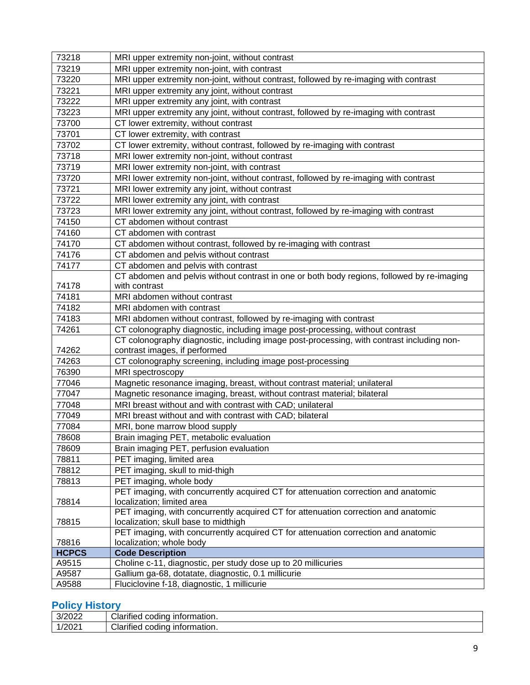| 73218          | MRI upper extremity non-joint, without contrast                                                                                                       |
|----------------|-------------------------------------------------------------------------------------------------------------------------------------------------------|
| 73219          | MRI upper extremity non-joint, with contrast                                                                                                          |
| 73220          | MRI upper extremity non-joint, without contrast, followed by re-imaging with contrast                                                                 |
| 73221          | MRI upper extremity any joint, without contrast                                                                                                       |
| 73222          | MRI upper extremity any joint, with contrast                                                                                                          |
| 73223          | MRI upper extremity any joint, without contrast, followed by re-imaging with contrast                                                                 |
| 73700          | CT lower extremity, without contrast                                                                                                                  |
| 73701          | CT lower extremity, with contrast                                                                                                                     |
| 73702          | CT lower extremity, without contrast, followed by re-imaging with contrast                                                                            |
| 73718          | MRI lower extremity non-joint, without contrast                                                                                                       |
| 73719          | MRI lower extremity non-joint, with contrast                                                                                                          |
| 73720          | MRI lower extremity non-joint, without contrast, followed by re-imaging with contrast                                                                 |
| 73721          | MRI lower extremity any joint, without contrast                                                                                                       |
| 73722          | MRI lower extremity any joint, with contrast                                                                                                          |
| 73723          | MRI lower extremity any joint, without contrast, followed by re-imaging with contrast                                                                 |
| 74150          | CT abdomen without contrast                                                                                                                           |
| 74160          | CT abdomen with contrast                                                                                                                              |
| 74170          | CT abdomen without contrast, followed by re-imaging with contrast                                                                                     |
| 74176          | CT abdomen and pelvis without contrast                                                                                                                |
| 74177          | CT abdomen and pelvis with contrast                                                                                                                   |
|                | CT abdomen and pelvis without contrast in one or both body regions, followed by re-imaging                                                            |
| 74178          | with contrast                                                                                                                                         |
| 74181          | MRI abdomen without contrast                                                                                                                          |
| 74182          | MRI abdomen with contrast                                                                                                                             |
| 74183          | MRI abdomen without contrast, followed by re-imaging with contrast                                                                                    |
| 74261          | CT colonography diagnostic, including image post-processing, without contrast                                                                         |
|                | CT colonography diagnostic, including image post-processing, with contrast including non-                                                             |
| 74262<br>74263 | contrast images, if performed                                                                                                                         |
| 76390          | CT colonography screening, including image post-processing<br>MRI spectroscopy                                                                        |
| 77046          |                                                                                                                                                       |
| 77047          | Magnetic resonance imaging, breast, without contrast material; unilateral<br>Magnetic resonance imaging, breast, without contrast material; bilateral |
| 77048          | MRI breast without and with contrast with CAD; unilateral                                                                                             |
| 77049          | MRI breast without and with contrast with CAD; bilateral                                                                                              |
| 77084          |                                                                                                                                                       |
| 78608          | MRI, bone marrow blood supply<br>Brain imaging PET, metabolic evaluation                                                                              |
| 78609          |                                                                                                                                                       |
| 78811          | Brain imaging PET, perfusion evaluation<br>PET imaging, limited area                                                                                  |
| 78812          | PET imaging, skull to mid-thigh                                                                                                                       |
| 78813          | PET imaging, whole body                                                                                                                               |
|                | PET imaging, with concurrently acquired CT for attenuation correction and anatomic                                                                    |
| 78814          | localization; limited area                                                                                                                            |
|                | PET imaging, with concurrently acquired CT for attenuation correction and anatomic                                                                    |
| 78815          | localization; skull base to midthigh                                                                                                                  |
|                | PET imaging, with concurrently acquired CT for attenuation correction and anatomic                                                                    |
| 78816          | localization; whole body                                                                                                                              |
| <b>HCPCS</b>   | <b>Code Description</b>                                                                                                                               |
| A9515          | Choline c-11, diagnostic, per study dose up to 20 millicuries                                                                                         |
|                |                                                                                                                                                       |
| A9587<br>A9588 | Gallium ga-68, dotatate, diagnostic, 0.1 millicurie<br>Fluciclovine f-18, diagnostic, 1 millicurie                                                    |

# <span id="page-8-0"></span>**Policy History**

| 3/2022<br>⊇∪∠∿<br>ັ | <br>$\sim$<br>information.<br>Clarified<br>codina   |
|---------------------|-----------------------------------------------------|
| /2021               | <br>$\sim$<br>information.<br>Clarified<br>' coding |